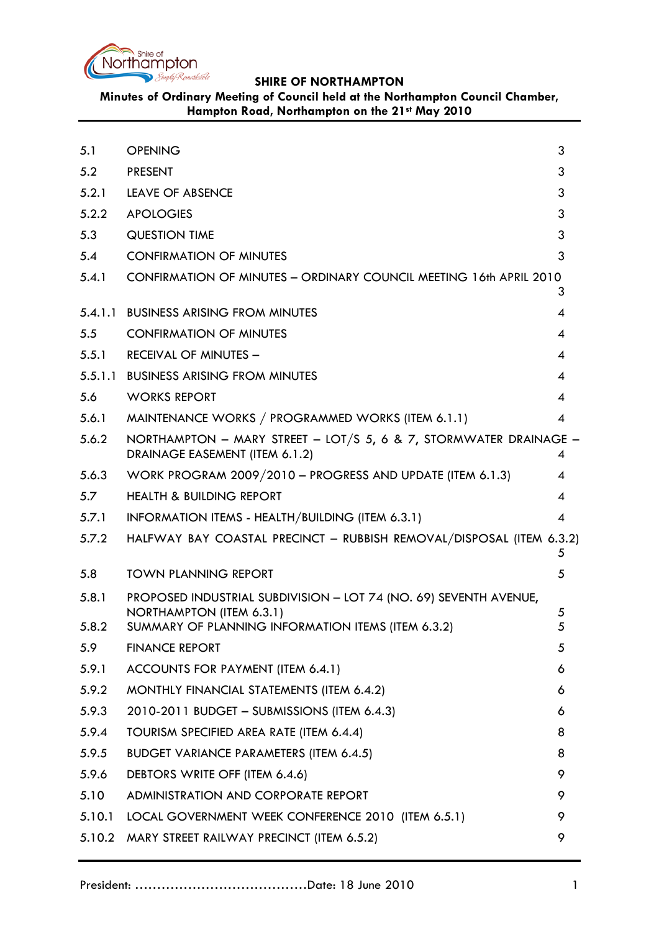

# **Minutes of Ordinary Meeting of Council held at the Northampton Council Chamber, Hampton Road, Northampton on the 21st May 2010**

<span id="page-0-0"></span>

| 5.1     | <b>OPENING</b>                                                                                      | 3              |
|---------|-----------------------------------------------------------------------------------------------------|----------------|
| 5.2     | <b>PRESENT</b>                                                                                      | 3              |
| 5.2.1   | <b>LEAVE OF ABSENCE</b>                                                                             | 3              |
| 5.2.2   | <b>APOLOGIES</b>                                                                                    | 3              |
| 5.3     | <b>QUESTION TIME</b>                                                                                | 3              |
| 5.4     | <b>CONFIRMATION OF MINUTES</b>                                                                      | 3              |
| 5.4.1   | CONFIRMATION OF MINUTES - ORDINARY COUNCIL MEETING 16th APRIL 2010                                  | 3              |
| 5.4.1.1 | <b>BUSINESS ARISING FROM MINUTES</b>                                                                | 4              |
| 5.5     | <b>CONFIRMATION OF MINUTES</b>                                                                      | 4              |
| 5.5.1   | <b>RECEIVAL OF MINUTES -</b>                                                                        | $\overline{4}$ |
| 5.5.1.1 | <b>BUSINESS ARISING FROM MINUTES</b>                                                                | 4              |
| 5.6     | <b>WORKS REPORT</b>                                                                                 | $\overline{4}$ |
| 5.6.1   | MAINTENANCE WORKS / PROGRAMMED WORKS (ITEM 6.1.1)                                                   | $\overline{4}$ |
| 5.6.2   | NORTHAMPTON - MARY STREET - LOT/S 5, 6 & 7, STORMWATER DRAINAGE -<br>DRAINAGE EASEMENT (ITEM 6.1.2) | 4              |
| 5.6.3   | WORK PROGRAM 2009/2010 - PROGRESS AND UPDATE (ITEM 6.1.3)                                           | 4              |
| 5.7     | <b>HEALTH &amp; BUILDING REPORT</b>                                                                 | 4              |
| 5.7.1   | INFORMATION ITEMS - HEALTH/BUILDING (ITEM 6.3.1)                                                    | $\overline{4}$ |
| 5.7.2   | HALFWAY BAY COASTAL PRECINCT - RUBBISH REMOVAL/DISPOSAL (ITEM 6.3.2)                                | 5              |
| 5.8     | <b>TOWN PLANNING REPORT</b>                                                                         | 5              |
| 5.8.1   | PROPOSED INDUSTRIAL SUBDIVISION - LOT 74 (NO. 69) SEVENTH AVENUE,                                   |                |
| 5.8.2   | NORTHAMPTON (ITEM 6.3.1)<br>SUMMARY OF PLANNING INFORMATION ITEMS (ITEM 6.3.2)                      | 5<br>5         |
| 5.9     | <b>FINANCE REPORT</b>                                                                               | 5              |
| 5.9.1   | ACCOUNTS FOR PAYMENT (ITEM 6.4.1)                                                                   | 6              |
| 5.9.2   | MONTHLY FINANCIAL STATEMENTS (ITEM 6.4.2)                                                           | 6              |
| 5.9.3   | 2010-2011 BUDGET - SUBMISSIONS (ITEM 6.4.3)                                                         | 6              |
| 5.9.4   | TOURISM SPECIFIED AREA RATE (ITEM 6.4.4)                                                            | 8              |
| 5.9.5   | <b>BUDGET VARIANCE PARAMETERS (ITEM 6.4.5)</b>                                                      | 8              |
| 5.9.6   | DEBTORS WRITE OFF (ITEM 6.4.6)                                                                      | 9              |
| 5.10    | ADMINISTRATION AND CORPORATE REPORT                                                                 | 9              |
| 5.10.1  | LOCAL GOVERNMENT WEEK CONFERENCE 2010 (ITEM 6.5.1)                                                  | 9              |
| 5.10.2  | MARY STREET RAILWAY PRECINCT (ITEM 6.5.2)                                                           | 9              |
|         |                                                                                                     |                |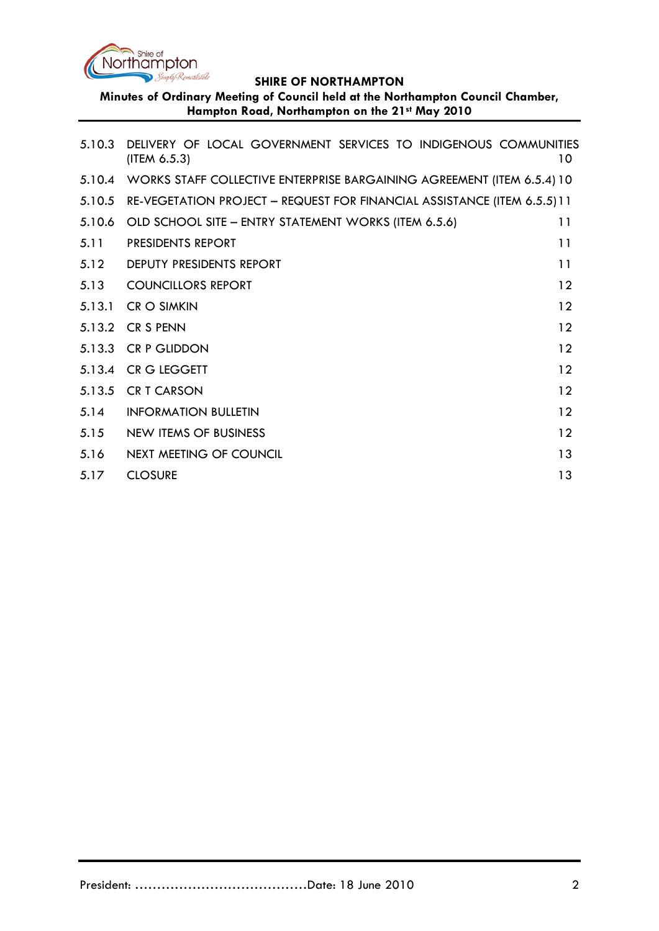

**Minutes of Ordinary Meeting of Council held at the Northampton Council Chamber, Hampton Road, Northampton on the 21st May 2010**

| 5.10.3 | DELIVERY OF LOCAL GOVERNMENT SERVICES TO INDIGENOUS COMMUNITIES<br>(ITEM 6.5.3) | 10              |
|--------|---------------------------------------------------------------------------------|-----------------|
|        | 5.10.4 WORKS STAFF COLLECTIVE ENTERPRISE BARGAINING AGREEMENT (ITEM 6.5.4) 10   |                 |
| 5.10.5 | RE-VEGETATION PROJECT - REQUEST FOR FINANCIAL ASSISTANCE (ITEM 6.5.5) 11        |                 |
| 5.10.6 | OLD SCHOOL SITE - ENTRY STATEMENT WORKS (ITEM 6.5.6)                            | 11              |
| 5.11   | PRESIDENTS REPORT                                                               | 11              |
| 5.12   | DEPUTY PRESIDENTS REPORT                                                        | 11              |
| 5.13   | <b>COUNCILLORS REPORT</b>                                                       | 12              |
| 5.13.1 | <b>CR O SIMKIN</b>                                                              | 12              |
|        | 5.13.2 CR S PENN                                                                | $12 \ \mathrm{$ |
|        | 5.13.3 CR P GLIDDON                                                             | 12              |
|        | 5.13.4 CR G LEGGETT                                                             | 12              |
|        | 5.13.5 CR T CARSON                                                              | 12              |
| 5.14   | <b>INFORMATION BULLETIN</b>                                                     | $12 \ \mathrm{$ |
| 5.15   | <b>NEW ITEMS OF BUSINESS</b>                                                    | 12              |
| 5.16   | NEXT MEETING OF COUNCIL                                                         | 13              |
| 5.17   | <b>CLOSURE</b>                                                                  | 13              |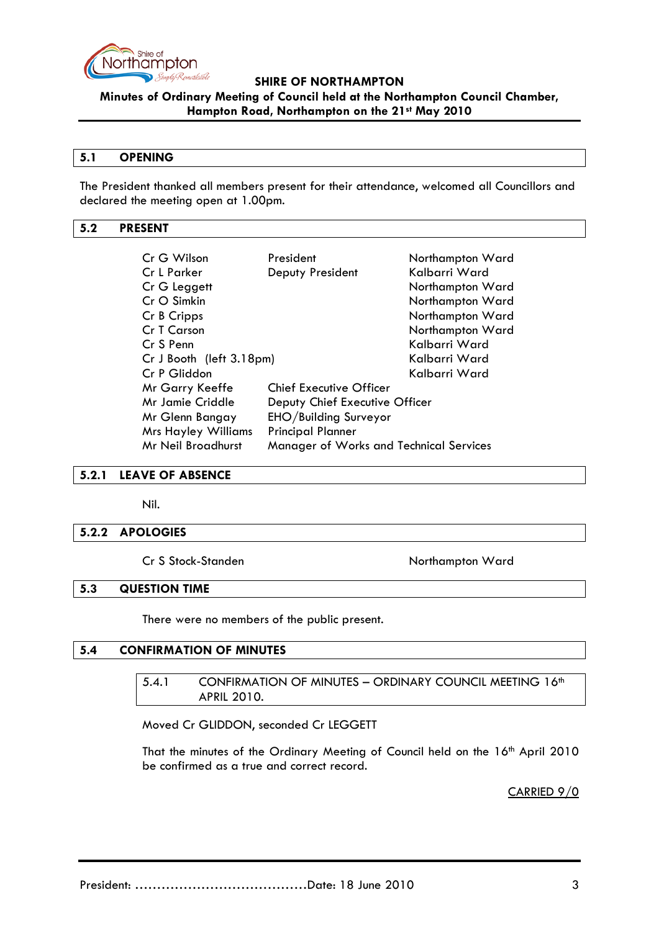

**Minutes of Ordinary Meeting of Council held at the Northampton Council Chamber, Hampton Road, Northampton on the 21st May 2010**

#### **5.1 OPENING**

The President thanked all members present for their attendance, welcomed all Councillors and declared the meeting open at 1.00pm.

#### <span id="page-2-0"></span>**5.2 PRESENT**

| Cr G Wilson                                                          | President                      | Northampton Ward |  |
|----------------------------------------------------------------------|--------------------------------|------------------|--|
| Cr L Parker                                                          | Deputy President               | Kalbarri Ward    |  |
| Cr G Leggett                                                         |                                | Northampton Ward |  |
| Cr O Simkin                                                          |                                | Northampton Ward |  |
| Cr B Cripps                                                          |                                | Northampton Ward |  |
| Cr T Carson                                                          |                                | Northampton Ward |  |
| Cr S Penn                                                            |                                | Kalbarri Ward    |  |
| Cr J Booth (left 3.18pm)                                             |                                | Kalbarri Ward    |  |
| Cr P Gliddon                                                         |                                | Kalbarri Ward    |  |
| <b>Mr Garry Keeffe</b>                                               | <b>Chief Executive Officer</b> |                  |  |
| Mr Jamie Criddle<br>Deputy Chief Executive Officer                   |                                |                  |  |
| EHO/Building Surveyor<br>Mr Glenn Bangay                             |                                |                  |  |
| <b>Mrs Hayley Williams</b>                                           | <b>Principal Planner</b>       |                  |  |
| <b>Mr Neil Broadhurst</b><br>Manager of Works and Technical Services |                                |                  |  |

#### <span id="page-2-1"></span>**5.2.1 LEAVE OF ABSENCE**

Nil.

#### <span id="page-2-2"></span>**5.2.2 APOLOGIES**

Cr S Stock-Standen Northampton Ward

#### <span id="page-2-3"></span>**5.3 QUESTION TIME**

There were no members of the public present.

# <span id="page-2-5"></span><span id="page-2-4"></span>**5.4 CONFIRMATION OF MINUTES**

5.4.1 CONFIRMATION OF MINUTES - ORDINARY COUNCIL MEETING 16th APRIL 2010.

Moved Cr GLIDDON, seconded Cr LEGGETT

<span id="page-2-6"></span>That the minutes of the Ordinary Meeting of Council held on the 16th April 2010 be confirmed as a true and correct record.

CARRIED 9/0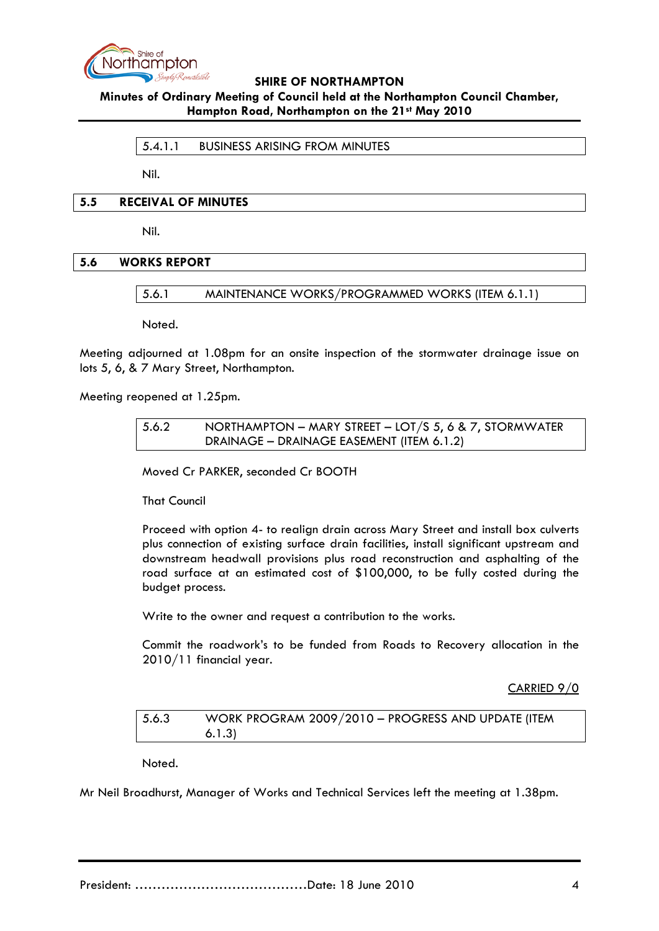

#### **Minutes of Ordinary Meeting of Council held at the Northampton Council Chamber, Hampton Road, Northampton on the 21st May 2010**

5.4.1.1 BUSINESS ARISING FROM MINUTES

Nil.

#### <span id="page-3-0"></span>**5.5 RECEIVAL OF MINUTES**

Nil.

### **5.6 WORKS REPORT**

5.6.1 MAINTENANCE WORKS/PROGRAMMED WORKS (ITEM 6.1.1)

Noted.

Meeting adjourned at 1.08pm for an onsite inspection of the stormwater drainage issue on lots 5, 6, & 7 Mary Street, Northampton.

Meeting reopened at 1.25pm.

#### 5.6.2 NORTHAMPTON – MARY STREET – LOT/S 5, 6 & 7, STORMWATER DRAINAGE – DRAINAGE EASEMENT (ITEM 6.1.2)

Moved Cr PARKER, seconded Cr BOOTH

That Council

Proceed with option 4- to realign drain across Mary Street and install box culverts plus connection of existing surface drain facilities, install significant upstream and downstream headwall provisions plus road reconstruction and asphalting of the road surface at an estimated cost of \$100,000, to be fully costed during the budget process.

Write to the owner and request a contribution to the works.

Commit the roadwork's to be funded from Roads to Recovery allocation in the 2010/11 financial year.

CARRIED 9/0

5.6.3 WORK PROGRAM 2009/2010 – PROGRESS AND UPDATE (ITEM 6.1.3)

Noted.

Mr Neil Broadhurst, Manager of Works and Technical Services left the meeting at 1.38pm.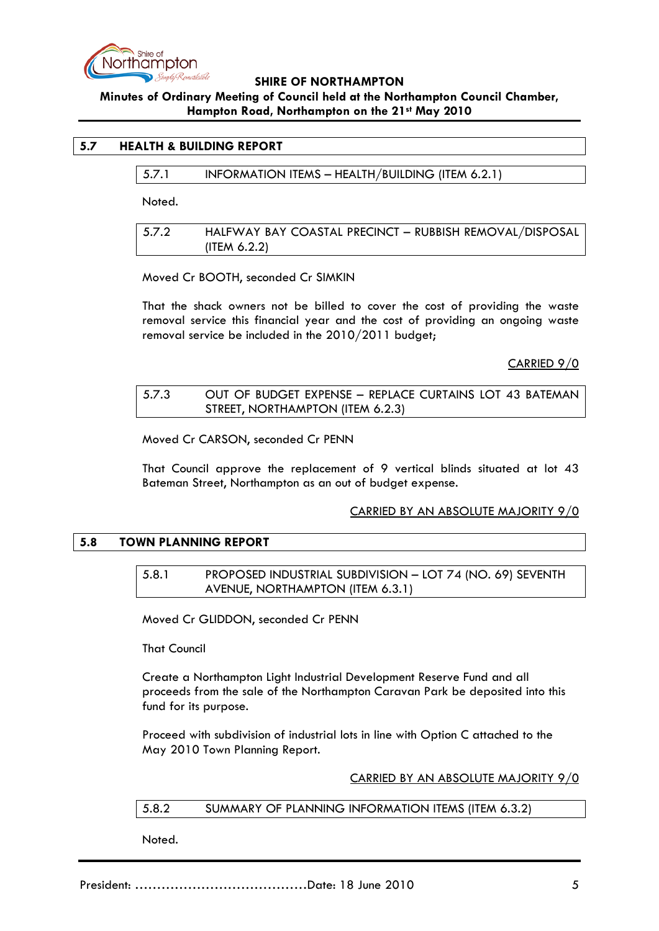

# **Minutes of Ordinary Meeting of Council held at the Northampton Council Chamber, Hampton Road, Northampton on the 21st May 2010**

# **5.7 HEALTH & BUILDING REPORT**

5.7.1 INFORMATION ITEMS – HEALTH/BUILDING (ITEM 6.2.1)

Noted.

| 5.7.2 | HALFWAY BAY COASTAL PRECINCT - RUBBISH REMOVAL/DISPOSAL |
|-------|---------------------------------------------------------|
|       | $($ ITEM 6.2.2 $)$                                      |

Moved Cr BOOTH, seconded Cr SIMKIN

That the shack owners not be billed to cover the cost of providing the waste removal service this financial year and the cost of providing an ongoing waste removal service be included in the 2010/2011 budget;

CARRIED 9/0

# 5.7.3 OUT OF BUDGET EXPENSE – REPLACE CURTAINS LOT 43 BATEMAN STREET, NORTHAMPTON (ITEM 6.2.3)

Moved Cr CARSON, seconded Cr PENN

That Council approve the replacement of 9 vertical blinds situated at lot 43 Bateman Street, Northampton as an out of budget expense.

# CARRIED BY AN ABSOLUTE MAJORITY 9/0

# **5.8 TOWN PLANNING REPORT**

# 5.8.1 PROPOSED INDUSTRIAL SUBDIVISION – LOT 74 (NO. 69) SEVENTH AVENUE, NORTHAMPTON (ITEM 6.3.1)

Moved Cr GLIDDON, seconded Cr PENN

That Council

Create a Northampton Light Industrial Development Reserve Fund and all proceeds from the sale of the Northampton Caravan Park be deposited into this fund for its purpose.

Proceed with subdivision of industrial lots in line with Option C attached to the May 2010 Town Planning Report.

CARRIED BY AN ABSOLUTE MAJORITY 9/0

#### 5.8.2 SUMMARY OF PLANNING INFORMATION ITEMS (ITEM 6.3.2)

Noted.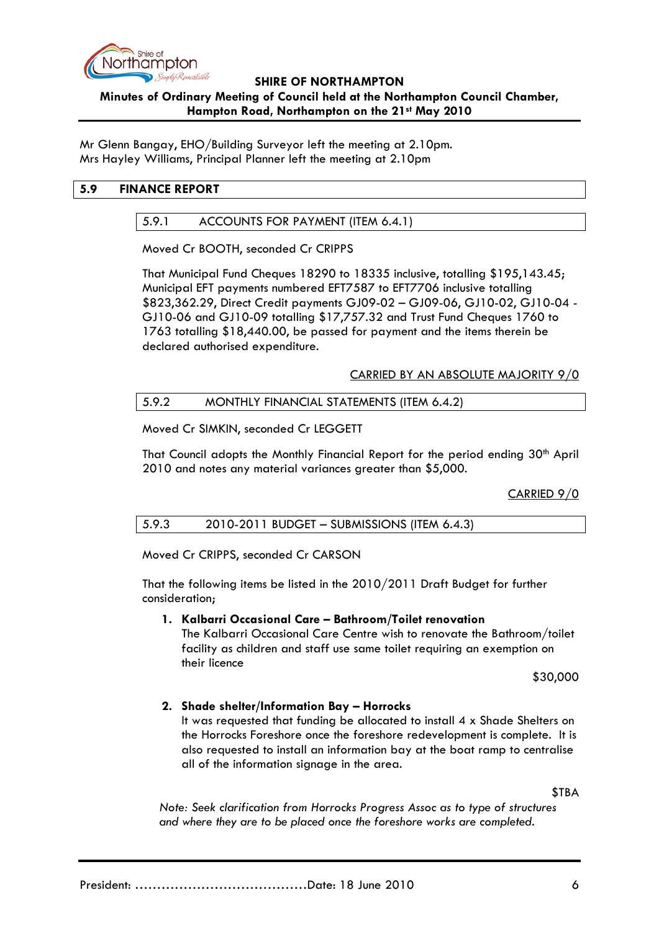

# **SHIRE OF NORTHAMPTON Minutes of Ordinary Meeting of Council held at the Northampton Council Chamber, Hampton Road, Northampton on the 21st May 2010**

Mr Glenn Bangay, EHO/Building Surveyor left the meeting at 2.10pm. Mrs Hayley Williams, Principal Planner left the meeting at 2.10pm

# **5.9 FINANCE REPORT**

# 5.9.1 ACCOUNTS FOR PAYMENT (ITEM 6.4.1)

Moved Cr BOOTH, seconded Cr CRIPPS

That Municipal Fund Cheques 18290 to 18335 inclusive, totalling \$195,143.45; Municipal EFT payments numbered EFT7587 to EFT7706 inclusive totalling \$823,362.29, Direct Credit payments GJ09-02 – GJ09-06, GJ10-02, GJ10-04 - GJ10-06 and GJ10-09 totalling \$17,757.32 and Trust Fund Cheques 1760 to 1763 totalling \$18,440.00, be passed for payment and the items therein be declared authorised expenditure.

# CARRIED BY AN ABSOLUTE MAJORITY 9/0

### 5.9.2 MONTHLY FINANCIAL STATEMENTS (ITEM 6.4.2)

Moved Cr SIMKIN, seconded Cr LEGGETT

That Council adopts the Monthly Financial Report for the period ending 30<sup>th</sup> April 2010 and notes any material variances greater than \$5,000.

CARRIED 9/0

# 5.9.3 2010-2011 BUDGET – SUBMISSIONS (ITEM 6.4.3)

Moved Cr CRIPPS, seconded Cr CARSON

That the following items be listed in the 2010/2011 Draft Budget for further consideration;

# **1. Kalbarri Occasional Care – Bathroom/Toilet renovation**

The Kalbarri Occasional Care Centre wish to renovate the Bathroom/toilet facility as children and staff use same toilet requiring an exemption on their licence

\$30,000

# **2. Shade shelter/Information Bay – Horrocks**

It was requested that funding be allocated to install 4 x Shade Shelters on the Horrocks Foreshore once the foreshore redevelopment is complete. It is also requested to install an information bay at the boat ramp to centralise all of the information signage in the area.

\$TBA

*Note: Seek clarification from Horrocks Progress Assoc as to type of structures and where they are to be placed once the foreshore works are completed.*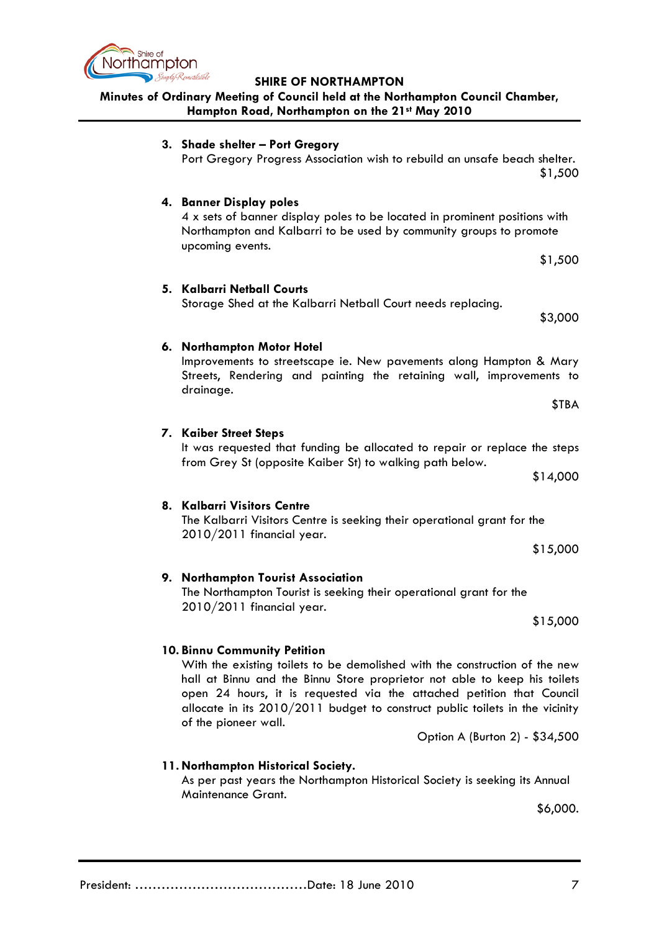

# **Minutes of Ordinary Meeting of Council held at the Northampton Council Chamber, Hampton Road, Northampton on the 21st May 2010**

| 3. Shade shelter - Port Gregory<br>Port Gregory Progress Association wish to rebuild an unsafe beach shelter.                                                                                                                                                                                                                                                                                                 | \$1,500  |
|---------------------------------------------------------------------------------------------------------------------------------------------------------------------------------------------------------------------------------------------------------------------------------------------------------------------------------------------------------------------------------------------------------------|----------|
| 4. Banner Display poles<br>4 x sets of banner display poles to be located in prominent positions with<br>Northampton and Kalbarri to be used by community groups to promote<br>upcoming events.                                                                                                                                                                                                               |          |
|                                                                                                                                                                                                                                                                                                                                                                                                               | \$1,500  |
| 5. Kalbarri Netball Courts<br>Storage Shed at the Kalbarri Netball Court needs replacing.                                                                                                                                                                                                                                                                                                                     | \$3,000  |
| 6. Northampton Motor Hotel                                                                                                                                                                                                                                                                                                                                                                                    |          |
| Improvements to streetscape ie. New pavements along Hampton & Mary<br>Streets, Rendering and painting the retaining wall, improvements to<br>drainage.                                                                                                                                                                                                                                                        |          |
|                                                                                                                                                                                                                                                                                                                                                                                                               | \$TBA    |
| 7. Kaiber Street Steps                                                                                                                                                                                                                                                                                                                                                                                        |          |
| It was requested that funding be allocated to repair or replace the steps                                                                                                                                                                                                                                                                                                                                     |          |
| from Grey St (opposite Kaiber St) to walking path below.                                                                                                                                                                                                                                                                                                                                                      | \$14,000 |
| 8. Kalbarri Visitors Centre                                                                                                                                                                                                                                                                                                                                                                                   |          |
| The Kalbarri Visitors Centre is seeking their operational grant for the<br>2010/2011 financial year.                                                                                                                                                                                                                                                                                                          |          |
|                                                                                                                                                                                                                                                                                                                                                                                                               | \$15,000 |
| 9. Northampton Tourist Association<br>The Northampton Tourist is seeking their operational grant for the                                                                                                                                                                                                                                                                                                      |          |
| 2010/2011 financial year.                                                                                                                                                                                                                                                                                                                                                                                     | \$15,000 |
| 10. Binnu Community Petition<br>With the existing toilets to be demolished with the construction of the new<br>hall at Binnu and the Binnu Store proprietor not able to keep his toilets<br>open 24 hours, it is requested via the attached petition that Council<br>allocate in its $2010/2011$ budget to construct public toilets in the vicinity<br>of the pioneer wall.<br>Option A (Burton 2) - \$34,500 |          |
| 11. Northampton Historical Society.                                                                                                                                                                                                                                                                                                                                                                           |          |
|                                                                                                                                                                                                                                                                                                                                                                                                               |          |

As per past years the Northampton Historical Society is seeking its Annual Maintenance Grant.

\$6,000.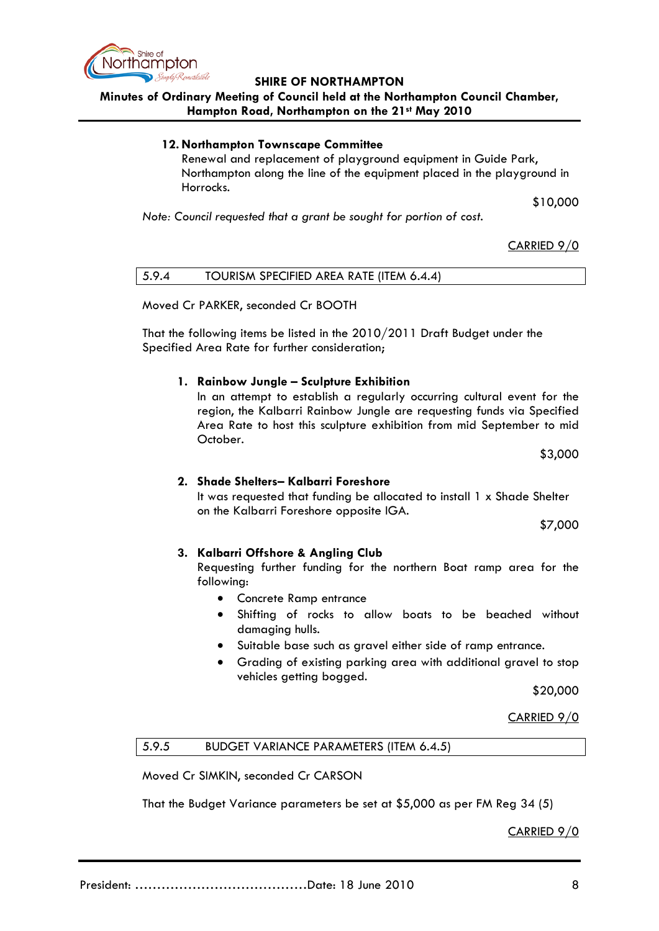

# **Minutes of Ordinary Meeting of Council held at the Northampton Council Chamber, Hampton Road, Northampton on the 21st May 2010**

#### **12. Northampton Townscape Committee**

Renewal and replacement of playground equipment in Guide Park, Northampton along the line of the equipment placed in the playground in Horrocks.

\$10,000

*Note: Council requested that a grant be sought for portion of cost.*

### CARRIED 9/0

Moved Cr PARKER, seconded Cr BOOTH

That the following items be listed in the 2010/2011 Draft Budget under the Specified Area Rate for further consideration;

#### **1. Rainbow Jungle – Sculpture Exhibition**

In an attempt to establish a regularly occurring cultural event for the region, the Kalbarri Rainbow Jungle are requesting funds via Specified Area Rate to host this sculpture exhibition from mid September to mid October.

\$3,000

#### **2. Shade Shelters– Kalbarri Foreshore**

It was requested that funding be allocated to install 1 x Shade Shelter on the Kalbarri Foreshore opposite IGA.

\$7,000

#### **3. Kalbarri Offshore & Angling Club**

Requesting further funding for the northern Boat ramp area for the following:

- Concrete Ramp entrance
- Shifting of rocks to allow boats to be beached without damaging hulls.
- Suitable base such as gravel either side of ramp entrance.
- Grading of existing parking area with additional gravel to stop vehicles getting bogged.

\$20,000

CARRIED 9/0

5.9.5 BUDGET VARIANCE PARAMETERS (ITEM 6.4.5)

Moved Cr SIMKIN, seconded Cr CARSON

That the Budget Variance parameters be set at \$5,000 as per FM Reg 34 (5)

CARRIED 9/0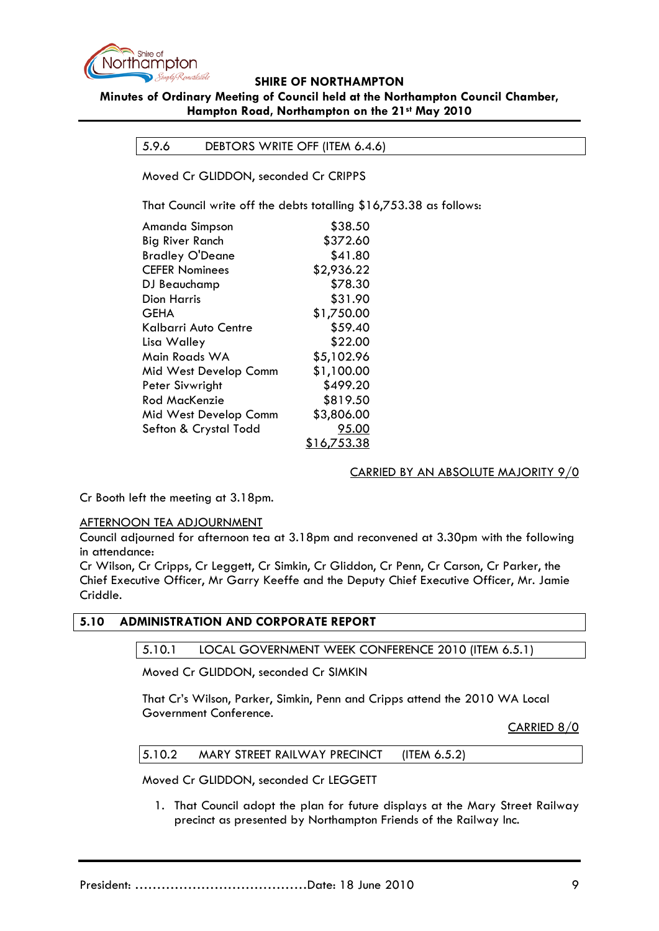

# **SHIRE OF NORTHAMPTON Minutes of Ordinary Meeting of Council held at the Northampton Council Chamber,**

### **Hampton Road, Northampton on the 21st May 2010**

# 5.9.6 DEBTORS WRITE OFF (ITEM 6.4.6)

Moved Cr GLIDDON, seconded Cr CRIPPS

That Council write off the debts totalling \$16,753.38 as follows:

| Amanda Simpson        | \$38.50            |
|-----------------------|--------------------|
| Big River Ranch       | \$372.60           |
| Bradley O'Deane       | \$41.80            |
| <b>CEFER Nominees</b> | \$2,936.22         |
| DJ Beauchamp          | \$78.30            |
| Dion Harris           | \$31.90            |
| GEHA                  | \$1,750.00         |
| Kalbarri Auto Centre  | \$59.40            |
| Lisa Walley           | \$22.00            |
| Main Roads WA         | \$5,102.96         |
| Mid West Develop Comm | \$1,100.00         |
| Peter Sivwright       | \$499.20           |
| Rod MacKenzie         | \$819.50           |
| Mid West Develop Comm | \$3,806.00         |
| Sefton & Crystal Todd | 95.00              |
|                       | <u>\$16,753.38</u> |

#### CARRIED BY AN ABSOLUTE MAJORITY 9/0

Cr Booth left the meeting at 3.18pm.

#### AFTERNOON TEA ADJOURNMENT

Council adjourned for afternoon tea at 3.18pm and reconvened at 3.30pm with the following in attendance:

Cr Wilson, Cr Cripps, Cr Leggett, Cr Simkin, Cr Gliddon, Cr Penn, Cr Carson, Cr Parker, the Chief Executive Officer, Mr Garry Keeffe and the Deputy Chief Executive Officer, Mr. Jamie Criddle.

#### **5.10 ADMINISTRATION AND CORPORATE REPORT**

5.10.1 LOCAL GOVERNMENT WEEK CONFERENCE 2010 (ITEM 6.5.1)

Moved Cr GLIDDON, seconded Cr SIMKIN

That Cr's Wilson, Parker, Simkin, Penn and Cripps attend the 2010 WA Local Government Conference.

CARRIED 8/0

| 5.10.2 | MARY STREET RAILWAY PRECINCT | (ITEM $6.5.2$ ) |  |
|--------|------------------------------|-----------------|--|
|--------|------------------------------|-----------------|--|

Moved Cr GLIDDON, seconded Cr LEGGETT

1. That Council adopt the plan for future displays at the Mary Street Railway precinct as presented by Northampton Friends of the Railway Inc.

President: …………………………………Date: 18 June 2010 9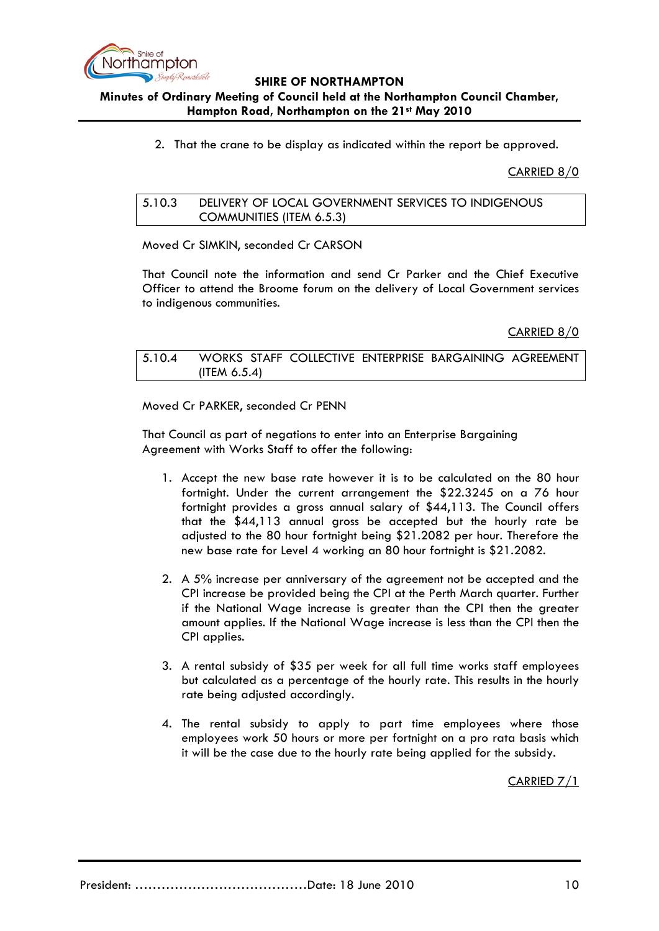

# **Minutes of Ordinary Meeting of Council held at the Northampton Council Chamber, Hampton Road, Northampton on the 21st May 2010**

2. That the crane to be display as indicated within the report be approved.

CARRIED 8/0

# 5.10.3 DELIVERY OF LOCAL GOVERNMENT SERVICES TO INDIGENOUS COMMUNITIES (ITEM 6.5.3)

Moved Cr SIMKIN, seconded Cr CARSON

That Council note the information and send Cr Parker and the Chief Executive Officer to attend the Broome forum on the delivery of Local Government services to indigenous communities.

CARRIED 8/0

5.10.4 WORKS STAFF COLLECTIVE ENTERPRISE BARGAINING AGREEMENT (ITEM 6.5.4)

Moved Cr PARKER, seconded Cr PENN

That Council as part of negations to enter into an Enterprise Bargaining Agreement with Works Staff to offer the following:

- 1. Accept the new base rate however it is to be calculated on the 80 hour fortnight. Under the current arrangement the \$22.3245 on a 76 hour fortnight provides a gross annual salary of \$44,113. The Council offers that the \$44,113 annual gross be accepted but the hourly rate be adjusted to the 80 hour fortnight being \$21.2082 per hour. Therefore the new base rate for Level 4 working an 80 hour fortnight is \$21.2082.
- 2. A 5% increase per anniversary of the agreement not be accepted and the CPI increase be provided being the CPI at the Perth March quarter. Further if the National Wage increase is greater than the CPI then the greater amount applies. If the National Wage increase is less than the CPI then the CPI applies.
- 3. A rental subsidy of \$35 per week for all full time works staff employees but calculated as a percentage of the hourly rate. This results in the hourly rate being adjusted accordingly.
- 4. The rental subsidy to apply to part time employees where those employees work 50 hours or more per fortnight on a pro rata basis which it will be the case due to the hourly rate being applied for the subsidy.

CARRIED 7/1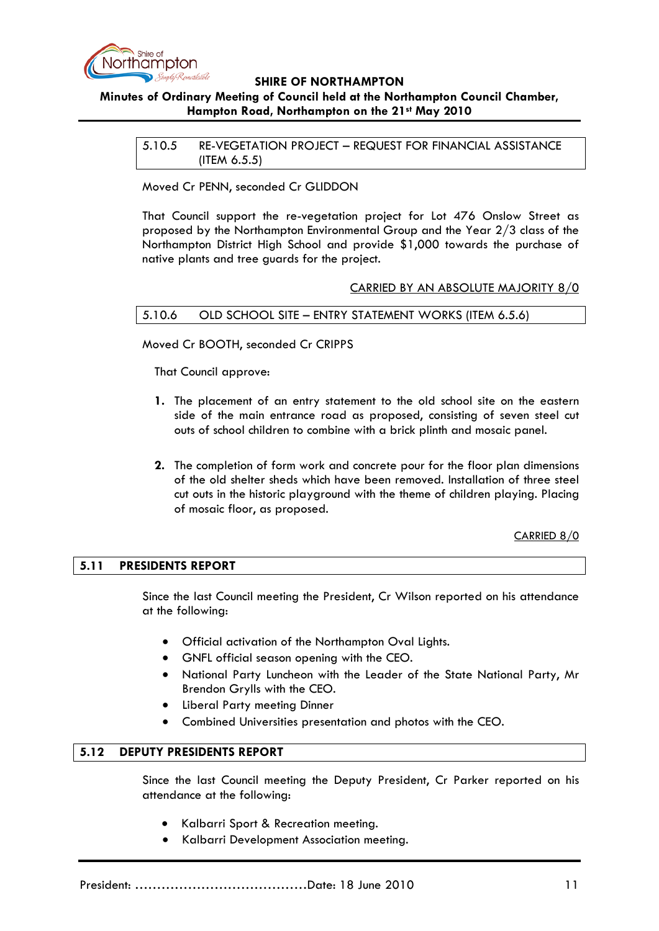

# **Minutes of Ordinary Meeting of Council held at the Northampton Council Chamber, Hampton Road, Northampton on the 21st May 2010**

5.10.5 RE-VEGETATION PROJECT – REQUEST FOR FINANCIAL ASSISTANCE (ITEM 6.5.5)

Moved Cr PENN, seconded Cr GLIDDON

That Council support the re-vegetation project for Lot 476 Onslow Street as proposed by the Northampton Environmental Group and the Year 2/3 class of the Northampton District High School and provide \$1,000 towards the purchase of native plants and tree guards for the project.

### CARRIED BY AN ABSOLUTE MAJORITY 8/0

#### 5.10.6 OLD SCHOOL SITE – ENTRY STATEMENT WORKS (ITEM 6.5.6)

Moved Cr BOOTH, seconded Cr CRIPPS

That Council approve:

- **1.** The placement of an entry statement to the old school site on the eastern side of the main entrance road as proposed, consisting of seven steel cut outs of school children to combine with a brick plinth and mosaic panel.
- **2.** The completion of form work and concrete pour for the floor plan dimensions of the old shelter sheds which have been removed. Installation of three steel cut outs in the historic playground with the theme of children playing. Placing of mosaic floor, as proposed.

CARRIED 8/0

#### **5.11 PRESIDENTS REPORT**

Since the last Council meeting the President, Cr Wilson reported on his attendance at the following:

- Official activation of the Northampton Oval Lights.
- GNFL official season opening with the CEO.
- National Party Luncheon with the Leader of the State National Party, Mr Brendon Grylls with the CEO.
- Liberal Party meeting Dinner
- Combined Universities presentation and photos with the CEO.

#### **5.12 DEPUTY PRESIDENTS REPORT**

Since the last Council meeting the Deputy President, Cr Parker reported on his attendance at the following:

- Kalbarri Sport & Recreation meeting.
- Kalbarri Development Association meeting.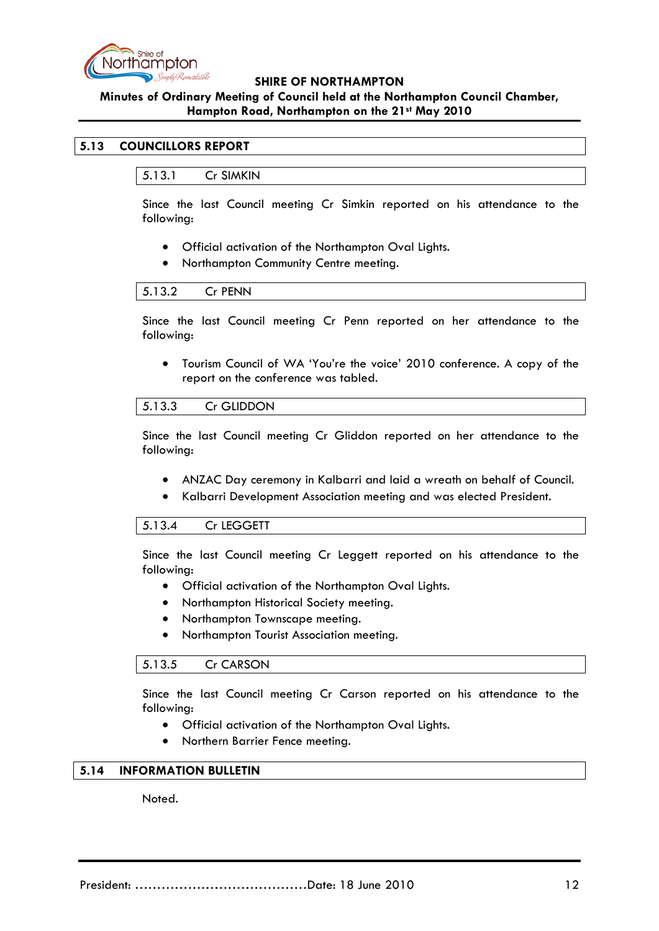

# **Minutes of Ordinary Meeting of Council held at the Northampton Council Chamber, Hampton Road, Northampton on the 21st May 2010**

# **5.13 COUNCILLORS REPORT**

5.13.1 Cr SIMKIN

Since the last Council meeting Cr Simkin reported on his attendance to the following:

- Official activation of the Northampton Oval Lights.
- Northampton Community Centre meeting.

#### 5.13.2 Cr PENN

Since the last Council meeting Cr Penn reported on her attendance to the following:

• Tourism Council of WA 'You're the voice' 2010 conference. A copy of the report on the conference was tabled.

#### 5.13.3 Cr GLIDDON

Since the last Council meeting Cr Gliddon reported on her attendance to the following:

- ANZAC Day ceremony in Kalbarri and laid a wreath on behalf of Council.
- Kalbarri Development Association meeting and was elected President.

#### 5.13.4 Cr LEGGETT

Since the last Council meeting Cr Leggett reported on his attendance to the following:

- Official activation of the Northampton Oval Lights.
- Northampton Historical Society meeting.
- Northampton Townscape meeting.
- Northampton Tourist Association meeting.

#### 5.13.5 Cr CARSON

Since the last Council meeting Cr Carson reported on his attendance to the following:

- Official activation of the Northampton Oval Lights.
- Northern Barrier Fence meeting.

# **5.14 INFORMATION BULLETIN**

Noted.